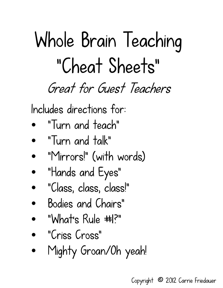# Whole Brain Teaching "Cheat Sheets" *Great for Guest Teachers*

Includes directions for:

- "Turn and teach"
- "Turn and talk"
- "Mirrors!" (with words)
- "Hands and Eyes"
- "Class, class, class!"
- Bodies and Chairs"
- "What's Rule #1?"
- "Criss Cross"
- Mighty Groan/Oh yeah!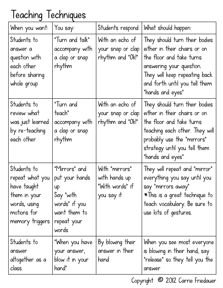## Teaching Techniques

| When you want:                                                                                                  | You say:                                                                                                    | Students respond:                                                | What should happen:                                                                                                                                                                                           |
|-----------------------------------------------------------------------------------------------------------------|-------------------------------------------------------------------------------------------------------------|------------------------------------------------------------------|---------------------------------------------------------------------------------------------------------------------------------------------------------------------------------------------------------------|
| Students to<br>answer a<br>question with<br>each other<br>before sharing<br>whole group                         | "Turn and talk"<br>accompany with<br>a clap or snap<br>rhythm                                               | With an echo of<br>your snap or clap<br>rhythm and "Ok!"         | They should turn their bodies<br>either in their chairs or on<br>the floor and take turns<br>answering your question.<br>They will keep repeating back<br>and forth until you tell them<br>"hands and eyes"   |
| Students to<br>review what<br>was just learned<br>by re-teaching<br>each other                                  | "Turn and<br>teach"<br>accompany with<br>a clap or snap<br>rhythm                                           | With an echo of<br>your snap or clap<br>rhythm and "Ok!"         | They should turn their bodies<br>either in their chairs or on<br>the floor and take turns<br>teaching each other. They will<br>probably use the "mirrors"<br>strategy until you tell them<br>"hands and eyes" |
| Students to<br>repeat what you<br>have taught<br>them in your<br>words, using<br>motions for<br>memory triggers | "Mirrors" and<br>put your hands<br>up<br>Say "with<br>words" if you<br>want them to<br>repeat your<br>words | With "mirrors"<br>with hands up<br>"With words" if<br>you say it | They will repeat and "mirror"<br>everything you say until you<br>say "mirrors away"<br>*This is a great technique to<br>teach vocabulary. Be sure to<br>use lots of gestures.                                 |
| Students to<br>answer<br>altogether as a<br>class                                                               | "When you have<br>your answer,<br>blow it in your<br>hand"                                                  | By blowing their<br>answer in their<br>hand                      | When you see most everyone<br>is blowing in their hand, say<br>"release" so they tell you the<br>answer                                                                                                       |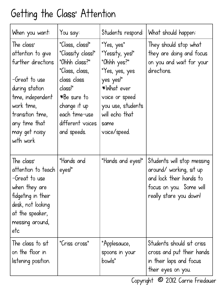#### Getting the Class' Attention

| When you want:                                                                                                                                                                                 | You say:                                                                                                                                                                             | Students respond:                                                                                                                                                          | What should happen:                                                                                                                   |
|------------------------------------------------------------------------------------------------------------------------------------------------------------------------------------------------|--------------------------------------------------------------------------------------------------------------------------------------------------------------------------------------|----------------------------------------------------------------------------------------------------------------------------------------------------------------------------|---------------------------------------------------------------------------------------------------------------------------------------|
| The class'<br>attention to give<br>further directions<br>-Great to use<br>during station<br>time, independent<br>work time,<br>transition time,<br>any time that<br>may get noisy<br>with work | "Class, class!"<br>"Classity class!"<br>"Ohhh class?"<br>"Class, class,<br>class class<br>class!"<br>*Be sure to<br>change it up<br>each time-use<br>different voices<br>and speeds. | "Yes, yes"<br>"Yessity, yes!"<br>"Ohhh yes?"<br>"Yes, yes, yes<br>yes yes!"<br>*What ever<br>voice or speed<br>you use, students<br>will echo that<br>same<br>voice/speed. | They should stop what<br>they are doing and focus<br>on you and wait for your<br>directions.                                          |
| The class'<br>attention to teach<br>-Great to use<br>when they are<br>fidgeting in their<br>desk, not looking<br>at the speaker,<br>messing around,<br>etc                                     | "Hands and<br>eyes!"                                                                                                                                                                 | "Hands and eyes!"                                                                                                                                                          | Students will stop messing<br>around/ working, sit up<br>and lock their hands to<br>focus on you. Some will<br>really stare you down! |
| The class to sit<br>on the floor in<br>listening position.                                                                                                                                     | "Criss cross"                                                                                                                                                                        | "Applesauce,<br>spoons in your<br>bowls"                                                                                                                                   | Students should sit criss<br>cross and put their hands<br>in their laps and focus<br>their eyes on you.                               |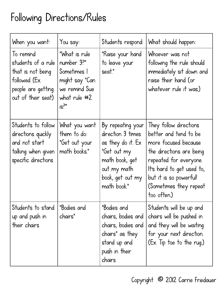## Following Directions/Rules

| When you want:                                                                                                    | You say:                                                                                                      | Students respond:                                                                                                                              | What should happen:                                                                                                                                                                                                           |
|-------------------------------------------------------------------------------------------------------------------|---------------------------------------------------------------------------------------------------------------|------------------------------------------------------------------------------------------------------------------------------------------------|-------------------------------------------------------------------------------------------------------------------------------------------------------------------------------------------------------------------------------|
| To remind<br>students of a rule<br>that is not being<br>followed (Ex.<br>people are getting<br>out of their seat) | "What is rule"<br>number 3?"<br>Sometimes 1<br>might say "Can<br>we remind Sue<br>what rule $#2$<br>$is^{2n}$ | "Raise your hand<br>to leave your<br>seat."                                                                                                    | Whoever was not<br>following the rule should<br>immediately sit down and<br>raise their hand (or<br>whatever rule it was.)                                                                                                    |
| Students to follow<br>directions quickly<br>and not start<br>talking when given<br>specific directions            | What you want<br>them to do:<br>"Get out your<br>math books."                                                 | By repeating your<br>direction 3 times<br>as they do it. Ex<br>"Get out my<br>math book, get<br>out my math<br>book, get out my<br>math book." | They follow directions<br>better and tend to be<br>more focused because<br>the directions are being<br>repeated for everyone.<br>It's hard to get used to,<br>but it is so powerful!<br>(Sometimes they repeat<br>too often.) |
| Students to stand<br>up and push in<br>their chairs                                                               | "Bodies and<br>chairs"                                                                                        | "Bodies and<br>chairs, bodies and<br>chairs, bodies and<br>chairs" as they<br>stand up and<br>push in their<br>chairs                          | Students will be up and<br>chairs will be pushed in<br>and they will be waiting<br>for your next direction.<br>(Ex. Tip toe to the rug.)                                                                                      |